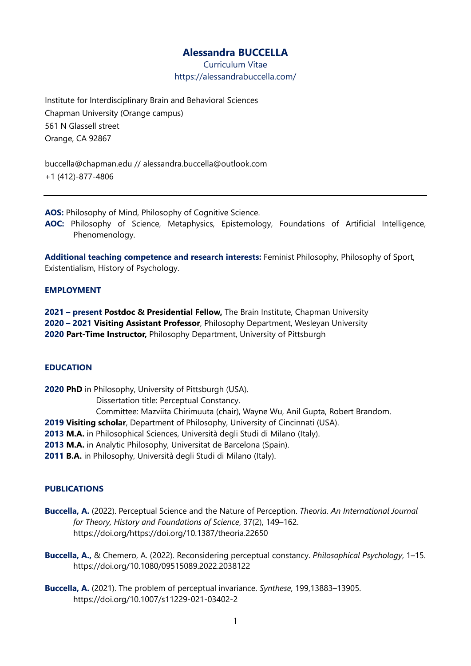# **Alessandra BUCCELLA**

Curriculum Vitae https://alessandrabuccella.com/

Institute for Interdisciplinary Brain and Behavioral Sciences Chapman University (Orange campus) 561 N Glassell street Orange, CA 92867

buccella@chapman.edu // alessandra.buccella@outlook.com +1 (412)-877-4806

**AOS:** Philosophy of Mind, Philosophy of Cognitive Science.

**AOC:** Philosophy of Science, Metaphysics, Epistemology, Foundations of Artificial Intelligence, Phenomenology.

**Additional teaching competence and research interests:** Feminist Philosophy, Philosophy of Sport, Existentialism, History of Psychology.

## **EMPLOYMENT**

**2021 – present Postdoc & Presidential Fellow,** The Brain Institute, Chapman University **2020 – 2021 Visiting Assistant Professor**, Philosophy Department, Wesleyan University **2020 Part-Time Instructor,** Philosophy Department, University of Pittsburgh

# **EDUCATION**

**2020 PhD** in Philosophy, University of Pittsburgh (USA). Dissertation title: Perceptual Constancy. Committee: Mazviita Chirimuuta (chair), Wayne Wu, Anil Gupta, Robert Brandom. **2019 Visiting scholar**, Department of Philosophy, University of Cincinnati (USA). **2013 M.A.** in Philosophical Sciences, Università degli Studi di Milano (Italy). **2013 M.A.** in Analytic Philosophy, Universitat de Barcelona (Spain). **2011 B.A.** in Philosophy, Università degli Studi di Milano (Italy).

## **PUBLICATIONS**

- **Buccella, A.** (2022). Perceptual Science and the Nature of Perception. *Theoria. An International Journal for Theory, History and Foundations of Science*, 37(2), 149–162. https://doi.org/https://doi.org/10.1387/theoria.22650
- **Buccella, A.,** & Chemero, A. (2022). Reconsidering perceptual constancy. *Philosophical Psychology*, 1–15. https://doi.org/10.1080/09515089.2022.2038122
- **Buccella, A.** (2021). The problem of perceptual invariance. *Synthese*, 199,13883–13905. https://doi.org/10.1007/s11229-021-03402-2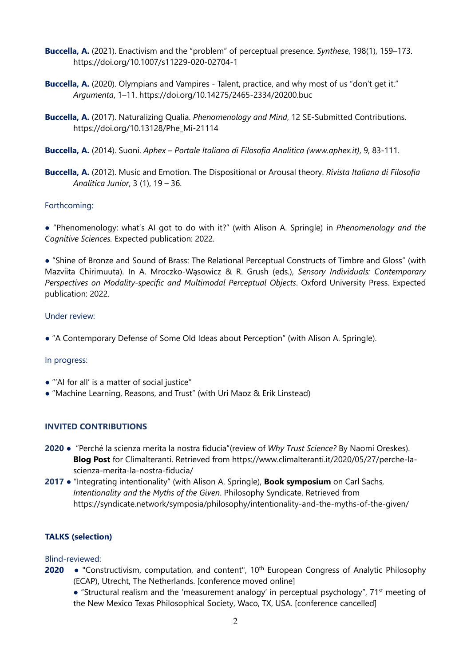- **Buccella, A.** (2021). Enactivism and the "problem" of perceptual presence. *Synthese*, 198(1), 159–173. https://doi.org/10.1007/s11229-020-02704-1
- **Buccella, A.** (2020). Olympians and Vampires Talent, practice, and why most of us "don't get it." *Argumenta*, 1–11. https://doi.org/10.14275/2465-2334/20200.buc
- **Buccella, A.** (2017). Naturalizing Qualia. *Phenomenology and Mind*, 12 SE-Submitted Contributions. https://doi.org/10.13128/Phe\_Mi-21114
- **Buccella, A.** (2014). Suoni. *Aphex Portale Italiano di Filosofia Analitica (www.aphex.it)*, 9, 83-111.
- **Buccella, A.** (2012). Music and Emotion. The Dispositional or Arousal theory. *Rivista Italiana di Filosofia Analitica Junior*, 3 (1), 19 – 36.

## Forthcoming:

● "Phenomenology: what's AI got to do with it?" (with Alison A. Springle) in *Phenomenology and the Cognitive Sciences.* Expected publication: 2022.

● "Shine of Bronze and Sound of Brass: The Relational Perceptual Constructs of Timbre and Gloss" (with Mazviita Chirimuuta). In A. Mroczko-Wąsowicz & R. Grush (eds.), *Sensory Individuals: Contemporary Perspectives on Modality-specific and Multimodal Perceptual Objects*. Oxford University Press. Expected publication: 2022.

## Under review:

● "A Contemporary Defense of Some Old Ideas about Perception" (with Alison A. Springle).

## In progress:

- "'AI for all' is a matter of social justice"
- "Machine Learning, Reasons, and Trust" (with Uri Maoz & Erik Linstead)

#### **INVITED CONTRIBUTIONS**

- **2020**  "Perché la scienza merita la nostra fiducia"(review of *Why Trust Science?* By Naomi Oreskes). **Blog Post** for Climalteranti. Retrieved from https://www.climalteranti.it/2020/05/27/perche-lascienza-merita-la-nostra-fiducia/
- **2017**  "Integrating intentionality" (with Alison A. Springle), **Book symposium** on Carl Sachs, *Intentionality and the Myths of the Given*. Philosophy Syndicate. Retrieved from https://syndicate.network/symposia/philosophy/intentionality-and-the-myths-of-the-given/

## **TALKS (selection)**

### Blind-reviewed:

- **2020** "Constructivism, computation, and content", 10<sup>th</sup> European Congress of Analytic Philosophy (ECAP), Utrecht, The Netherlands. [conference moved online]
	- "Structural realism and the 'measurement analogy' in perceptual psychology", 71<sup>st</sup> meeting of the New Mexico Texas Philosophical Society, Waco, TX, USA. [conference cancelled]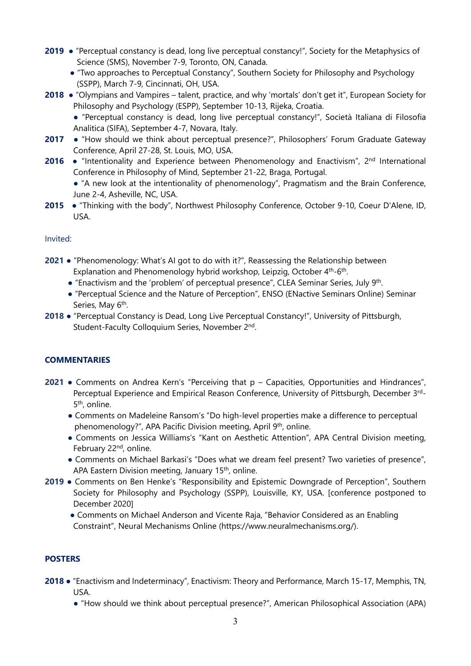- **2019** "Perceptual constancy is dead, long live perceptual constancy!", Society for the Metaphysics of Science (SMS), November 7-9, Toronto, ON, Canada.
	- "Two approaches to Perceptual Constancy", Southern Society for Philosophy and Psychology (SSPP), March 7-9, Cincinnati, OH, USA.
- **2018**  "Olympians and Vampires talent, practice, and why 'mortals' don't get it", European Society for Philosophy and Psychology (ESPP), September 10-13, Rijeka, Croatia.
	- "Perceptual constancy is dead, long live perceptual constancy!", Società Italiana di Filosofia Analitica (SIFA), September 4-7, Novara, Italy.
- **2017** "How should we think about perceptual presence?", Philosophers' Forum Graduate Gateway Conference, April 27-28, St. Louis, MO, USA.
- **2016 •** "Intentionality and Experience between Phenomenology and Enactivism", 2<sup>nd</sup> International Conference in Philosophy of Mind, September 21-22, Braga, Portugal.

● "A new look at the intentionality of phenomenology", Pragmatism and the Brain Conference, June 2-4, Asheville, NC, USA.

**2015** ● "Thinking with the body", Northwest Philosophy Conference, October 9-10, Coeur D'Alene, ID, USA.

## Invited:

- **2021**  "Phenomenology: What's AI got to do with it?", Reassessing the Relationship between Explanation and Phenomenology hybrid workshop, Leipzig, October 4<sup>th</sup>-6<sup>th</sup>.
	- "Enactivism and the 'problem' of perceptual presence", CLEA Seminar Series, July 9<sup>th</sup>.
	- "Perceptual Science and the Nature of Perception", ENSO (ENactive Seminars Online) Seminar Series, May 6<sup>th</sup>.
- **2018**  "Perceptual Constancy is Dead, Long Live Perceptual Constancy!", University of Pittsburgh, Student-Faculty Colloquium Series, November 2nd.

# **COMMENTARIES**

- **2021**  Comments on Andrea Kern's "Perceiving that p Capacities, Opportunities and Hindrances", Perceptual Experience and Empirical Reason Conference, University of Pittsburgh, December 3rd-5<sup>th</sup>, online.
	- Comments on Madeleine Ransom's "Do high-level properties make a difference to perceptual phenomenology?", APA Pacific Division meeting, April 9<sup>th</sup>, online.
	- Comments on Jessica Williams's "Kant on Aesthetic Attention", APA Central Division meeting, February 22<sup>nd</sup>, online.
	- Comments on Michael Barkasi's "Does what we dream feel present? Two varieties of presence", APA Eastern Division meeting, January 15<sup>th</sup>, online.
- **2019**  Comments on Ben Henke's "Responsibility and Epistemic Downgrade of Perception", Southern Society for Philosophy and Psychology (SSPP), Louisville, KY, USA. [conference postponed to December 2020]
	- Comments on Michael Anderson and Vicente Raja, "Behavior Considered as an Enabling Constraint", Neural Mechanisms Online (https://www.neuralmechanisms.org/).

# **POSTERS**

- **2018**  "Enactivism and Indeterminacy", Enactivism: Theory and Performance, March 15-17, Memphis, TN, USA.
	- "How should we think about perceptual presence?", American Philosophical Association (APA)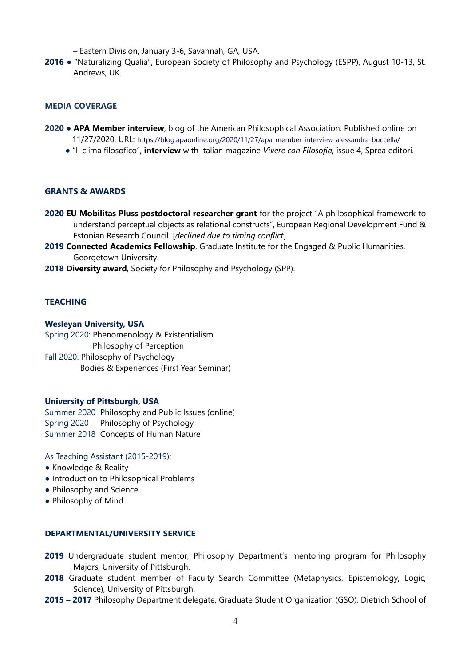– Eastern Division, January 3-6, Savannah, GA, USA.

**2016** ● "Naturalizing Qualia", European Society of Philosophy and Psychology (ESPP), August 10-13, St. Andrews, UK.

## **MEDIA COVERAGE**

- **2020 APA Member interview**, blog of the American Philosophical Association. Published online on 11/27/2020. URL:<https://blog.apaonline.org/2020/11/27/apa-member-interview-alessandra-buccella/>
	- "Il clima filosofico", **interview** with Italian magazine *Vivere con Filosofia*, issue 4, Sprea editori.

#### **GRANTS & AWARDS**

- **2020 EU Mobilitas Pluss postdoctoral researcher grant** for the project "A philosophical framework to understand perceptual objects as relational constructs", European Regional Development Fund & Estonian Research Council. [*declined due to timing conflict*].
- **2019 Connected Academics Fellowship**, Graduate Institute for the Engaged & Public Humanities, Georgetown University.
- **2018 Diversity award**, Society for Philosophy and Psychology (SPP).

## **TEACHING**

#### **Wesleyan University, USA**

Spring 2020: Phenomenology & Existentialism Philosophy of Perception Fall 2020: Philosophy of Psychology Bodies & Experiences (First Year Seminar)

#### **University of Pittsburgh, USA**

Summer 2020 Philosophy and Public Issues (online) Spring 2020 Philosophy of Psychology Summer 2018Concepts of Human Nature

#### As Teaching Assistant (2015-2019):

- Knowledge & Reality
- Introduction to Philosophical Problems
- Philosophy and Science
- Philosophy of Mind

#### **DEPARTMENTAL/UNIVERSITY SERVICE**

- **2019** Undergraduate student mentor, Philosophy Department's mentoring program for Philosophy Majors, University of Pittsburgh.
- **2018** Graduate student member of Faculty Search Committee (Metaphysics, Epistemology, Logic, Science), University of Pittsburgh.
- **2015 2017** Philosophy Department delegate, Graduate Student Organization (GSO), Dietrich School of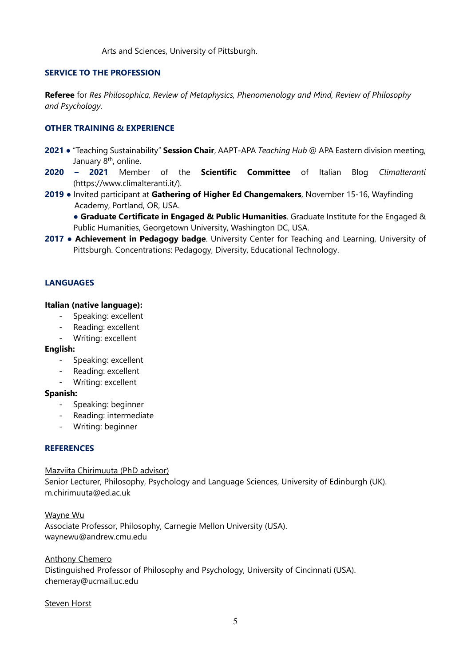Arts and Sciences, University of Pittsburgh.

## **SERVICE TO THE PROFESSION**

**Referee** for *Res Philosophica, Review of Metaphysics, Phenomenology and Mind, Review of Philosophy and Psychology.* 

## **OTHER TRAINING & EXPERIENCE**

- **2021**  "Teaching Sustainability" **Session Chair**, AAPT-APA *Teaching Hub* @ APA Eastern division meeting, January 8th, online.
- **2020 2021** Member of the **Scientific Committee** of Italian Blog *Climalteranti*  (https://www.climalteranti.it/).
- **2019** Invited participant at **Gathering of Higher Ed Changemakers**, November 15-16, Wayfinding Academy, Portland, OR, USA.

● **Graduate Certificate in Engaged & Public Humanities**. Graduate Institute for the Engaged & Public Humanities, Georgetown University, Washington DC, USA.

**2017** ● **Achievement in Pedagogy badge**. University Center for Teaching and Learning, University of Pittsburgh. Concentrations: Pedagogy, Diversity, Educational Technology.

## **LANGUAGES**

#### **Italian (native language):**

- Speaking: excellent
- Reading: excellent
- Writing: excellent

#### **English:**

- Speaking: excellent
- Reading: excellent
- Writing: excellent

#### **Spanish:**

- Speaking: beginner
- Reading: intermediate
- Writing: beginner

#### **REFERENCES**

#### Mazviita Chirimuuta (PhD advisor)

Senior Lecturer, Philosophy, Psychology and Language Sciences, University of Edinburgh (UK). m.chirimuuta@ed.ac.uk

Wayne Wu Associate Professor, Philosophy, Carnegie Mellon University (USA). waynewu@andrew.cmu.edu

#### Anthony Chemero

Distinguished Professor of Philosophy and Psychology, University of Cincinnati (USA). chemeray@ucmail.uc.edu

#### Steven Horst